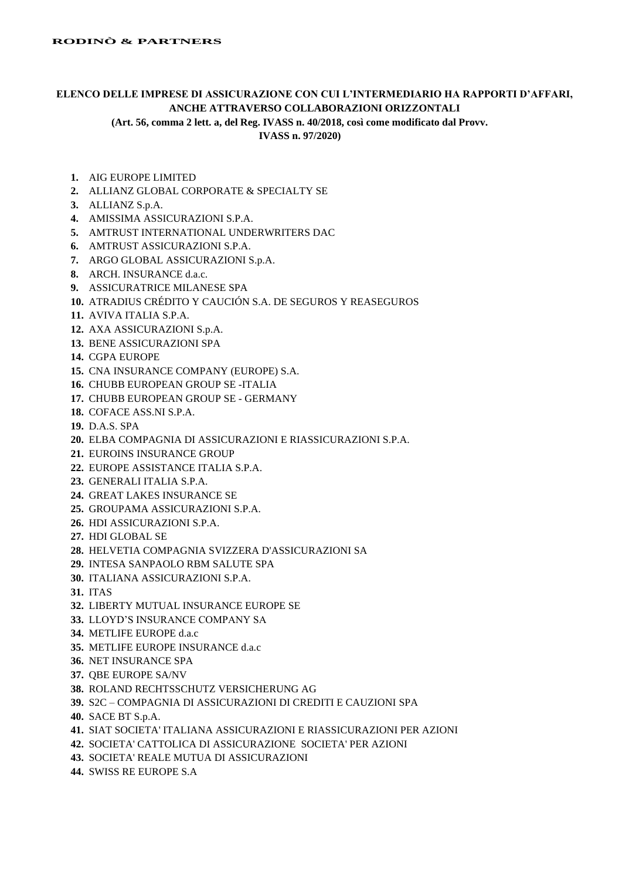## **ELENCO DELLE IMPRESE DI ASSICURAZIONE CON CUI L'INTERMEDIARIO HA RAPPORTI D'AFFARI, ANCHE ATTRAVERSO COLLABORAZIONI ORIZZONTALI**

**(Art. 56, comma 2 lett. a, del Reg. IVASS n. 40/2018, così come modificato dal Provv.** 

**IVASS n. 97/2020)**

- **1.** AIG EUROPE LIMITED
- **2.** ALLIANZ GLOBAL CORPORATE & SPECIALTY SE
- **3.** ALLIANZ S.p.A.
- **4.** AMISSIMA ASSICURAZIONI S.P.A.
- **5.** AMTRUST INTERNATIONAL UNDERWRITERS DAC
- **6.** AMTRUST ASSICURAZIONI S.P.A.
- **7.** ARGO GLOBAL ASSICURAZIONI S.p.A.
- **8.** ARCH. INSURANCE d.a.c.
- **9.** ASSICURATRICE MILANESE SPA
- **10.** ATRADIUS CRÉDITO Y CAUCIÓN S.A. DE SEGUROS Y REASEGUROS
- **11.** AVIVA ITALIA S.P.A.
- **12.** AXA ASSICURAZIONI S.p.A.
- **13.** BENE ASSICURAZIONI SPA
- **14.** CGPA EUROPE
- **15.** CNA INSURANCE COMPANY (EUROPE) S.A.
- **16.** CHUBB EUROPEAN GROUP SE -ITALIA
- **17.** CHUBB EUROPEAN GROUP SE GERMANY
- **18.** COFACE ASS.NI S.P.A.
- **19.** D.A.S. SPA
- **20.** ELBA COMPAGNIA DI ASSICURAZIONI E RIASSICURAZIONI S.P.A.
- **21.** EUROINS INSURANCE GROUP
- **22.** EUROPE ASSISTANCE ITALIA S.P.A.
- **23.** GENERALI ITALIA S.P.A.
- **24.** GREAT LAKES INSURANCE SE
- **25.** GROUPAMA ASSICURAZIONI S.P.A.
- **26.** HDI ASSICURAZIONI S.P.A.
- **27.** HDI GLOBAL SE
- **28.** HELVETIA COMPAGNIA SVIZZERA D'ASSICURAZIONI SA
- **29.** INTESA SANPAOLO RBM SALUTE SPA
- **30.** ITALIANA ASSICURAZIONI S.P.A.
- **31.** ITAS
- **32.** LIBERTY MUTUAL INSURANCE EUROPE SE
- **33.** LLOYD'S INSURANCE COMPANY SA
- **34.** METLIFE EUROPE d.a.c
- **35.** METLIFE EUROPE INSURANCE d.a.c
- **36.** NET INSURANCE SPA
- **37.** QBE EUROPE SA/NV
- **38.** ROLAND RECHTSSCHUTZ VERSICHERUNG AG
- **39.** S2C COMPAGNIA DI ASSICURAZIONI DI CREDITI E CAUZIONI SPA
- **40.** SACE BT S.p.A.
- **41.** SIAT SOCIETA' ITALIANA ASSICURAZIONI E RIASSICURAZIONI PER AZIONI
- **42.** SOCIETA' CATTOLICA DI ASSICURAZIONE SOCIETA' PER AZIONI
- **43.** SOCIETA' REALE MUTUA DI ASSICURAZIONI
- **44.** SWISS RE EUROPE S.A